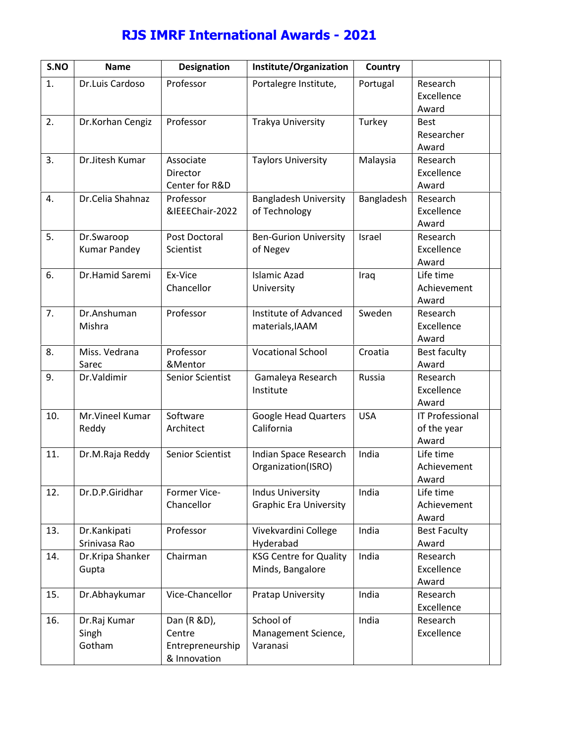## **RJS IMRF International Awards - 2021**

| S.N   | Name                           |                                                                | Designati Institute/Orga Counti       |         |                                   |
|-------|--------------------------------|----------------------------------------------------------------|---------------------------------------|---------|-----------------------------------|
| 1.    | Dr. Luis Cal                   | Professor                                                      | Portalegre In Portuga                 |         | Research<br>Excellenc<br>Award    |
| 2.    | Dr.Korhan                      | Professor                                                      | Trakya Univer Turkey                  |         | <b>Best</b><br>Researche<br>Award |
| 3.    | Dr.Jitesh K Associate          | Director<br>Center for                                         | Taylors Unive Malays                  |         | Research<br>Excellenc<br>Award    |
| 4.    | Dr. Celia St Professor         | & IEEE E2h0a2i2                                                | Bangladesh U Bangla<br>of Technology  |         | Research<br>Excellenc<br>Award    |
| 5.    | Kumar Pand                     | Dr. Swaroop Post Docto<br>Scientist                            | Be-Gurion Uni<br>ofNegev              | Israel  | Research<br>Excellenc<br>Award    |
| 6.    | Dr. Hamid S Exvice             | Chancellor                                                     | Islamic Azad<br>University            | $l$ raq | Life time<br>Achievem<br>Award    |
| 7.    | Dr.Anshum<br>Mishra            | Professor                                                      | Institute of A<br>materials, IAA      | Sweden  | Research<br>Excellenc<br>Award    |
| 8.    | Miss. Vedri Professor<br>Sarec | & Mentor                                                       | Vocational Sc Croatia                 |         | Best facu<br>Award                |
| $9$ . |                                | Dr. Valdimin Senior Scie                                       | Gamaleya Re Russia<br>Institute       |         | Research<br>Excellenc<br>Award    |
| 10.   | Mr. Vineel H Software<br>Reddy | Architect                                                      | GoogHead Qua USA<br>California        |         | IT Profes:<br>of the yea<br>Award |
| 11.   | Dr.M.Raja                      | Senior Scie                                                    | Indian Space<br>Organization(         | India   | Life time<br>Achievem<br>Award    |
| 12.   |                                | Dr.D.P.Giri Former-Vic<br>Chancellor                           | Indus Univers<br>Graphid Eirvaer      | India   | Life time<br>Achievem<br>Award    |
| 13.   | Dr.Kankipal<br>Srinivasa R     | Professor                                                      | Vivekvardini<br>Hyderabad             | India   | Best Facu<br>Award                |
| 14.   | Dr. Kripa SI Chairman<br>Gupta |                                                                | KSG Centre fo India<br>Minds, Banga   |         | Research<br>Excellenc<br>Award    |
| 15.   |                                | Dr. Abhayku Vic@hancel                                         | Pratap Univer India                   |         | Research<br>Excellenc             |
| 16.   | $S$ ingh<br>Gotham             | Dr. Raj Kum Dan (R & D)<br>Centre<br>Entreprene<br>& Innovatid | School of<br>Management S<br>Varanasi | India   | Research<br>Excellenc             |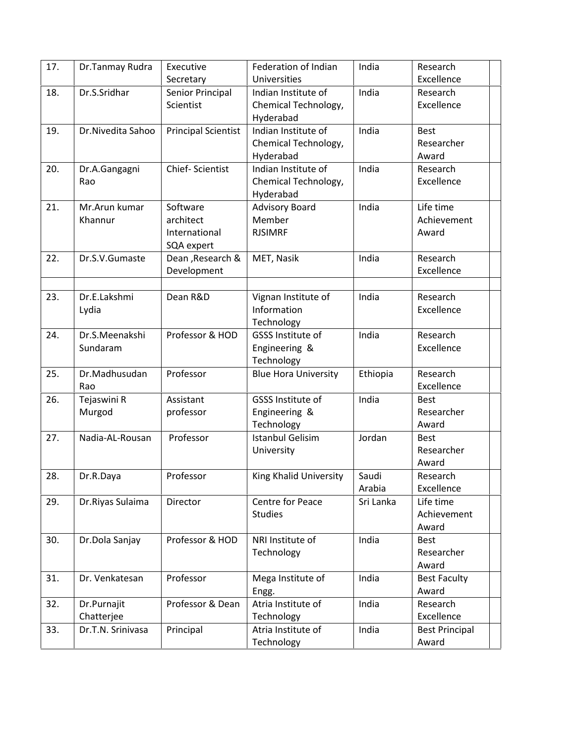| 17. | Dr.Tanmay Rudra   | Executive                  | Federation of Indian        | India     | Research              |
|-----|-------------------|----------------------------|-----------------------------|-----------|-----------------------|
|     |                   | Secretary                  | Universities                |           | Excellence            |
| 18. | Dr.S.Sridhar      | Senior Principal           | Indian Institute of         | India     | Research              |
|     |                   | Scientist                  | Chemical Technology,        |           | Excellence            |
|     |                   |                            | Hyderabad                   |           |                       |
| 19. | Dr.Nivedita Sahoo | <b>Principal Scientist</b> | Indian Institute of         | India     | <b>Best</b>           |
|     |                   |                            | Chemical Technology,        |           | Researcher            |
|     |                   |                            | Hyderabad                   |           | Award                 |
| 20. | Dr.A.Gangagni     | Chief-Scientist            | Indian Institute of         | India     | Research              |
|     | Rao               |                            | Chemical Technology,        |           | Excellence            |
|     |                   |                            | Hyderabad                   |           |                       |
| 21. | Mr.Arun kumar     | Software                   | <b>Advisory Board</b>       | India     | Life time             |
|     | Khannur           | architect                  | Member                      |           | Achievement           |
|     |                   | International              | <b>RJSIMRF</b>              |           | Award                 |
|     |                   | SQA expert                 |                             |           |                       |
| 22. | Dr.S.V.Gumaste    | Dean, Research &           | MET, Nasik                  | India     | Research              |
|     |                   | Development                |                             |           | Excellence            |
|     |                   |                            |                             |           |                       |
| 23. | Dr.E.Lakshmi      | Dean R&D                   | Vignan Institute of         | India     | Research              |
|     | Lydia             |                            | Information                 |           | Excellence            |
|     |                   |                            | Technology                  |           |                       |
| 24. | Dr.S.Meenakshi    | Professor & HOD            | GSSS Institute of           | India     | Research              |
|     | Sundaram          |                            | Engineering &               |           | Excellence            |
|     |                   |                            | Technology                  |           |                       |
| 25. | Dr.Madhusudan     | Professor                  | <b>Blue Hora University</b> | Ethiopia  | Research              |
|     | Rao               |                            |                             |           | Excellence            |
| 26. | Tejaswini R       | Assistant                  | GSSS Institute of           | India     | <b>Best</b>           |
|     | Murgod            | professor                  | Engineering &               |           | Researcher            |
|     |                   |                            | Technology                  |           | Award                 |
| 27. | Nadia-AL-Rousan   | Professor                  | <b>Istanbul Gelisim</b>     | Jordan    | <b>Best</b>           |
|     |                   |                            | University                  |           | Researcher            |
|     |                   |                            |                             |           | Award                 |
| 28. | Dr.R.Daya         | Professor                  | King Khalid University      | Saudi     | Research              |
|     |                   |                            |                             | Arabia    | Excellence            |
| 29. | Dr. Riyas Sulaima | Director                   | Centre for Peace            | Sri Lanka | Life time             |
|     |                   |                            | <b>Studies</b>              |           | Achievement           |
|     |                   |                            |                             |           | Award                 |
| 30. | Dr.Dola Sanjay    | Professor & HOD            | NRI Institute of            | India     | <b>Best</b>           |
|     |                   |                            | Technology                  |           | Researcher            |
|     |                   |                            |                             |           | Award                 |
| 31. | Dr. Venkatesan    | Professor                  | Mega Institute of           | India     | <b>Best Faculty</b>   |
|     |                   |                            | Engg.                       |           | Award                 |
| 32. | Dr.Purnajit       | Professor & Dean           | Atria Institute of          | India     | Research              |
|     | Chatterjee        |                            | Technology                  |           | Excellence            |
| 33. | Dr.T.N. Srinivasa | Principal                  | Atria Institute of          | India     | <b>Best Principal</b> |
|     |                   |                            | Technology                  |           | Award                 |
|     |                   |                            |                             |           |                       |